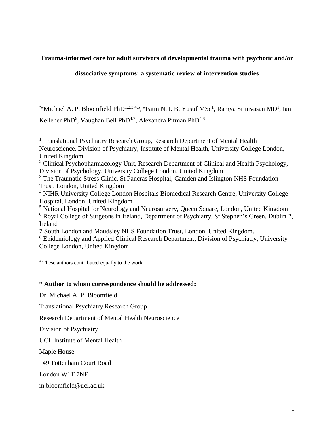## **Trauma-informed care for adult survivors of developmental trauma with psychotic and/or**

## **dissociative symptoms: a systematic review of intervention studies**

<sup>\*#</sup>Michael A. P. Bloomfield PhD<sup>1,2,3,4,5</sup>, <sup>#</sup>Fatin N. I. B. Yusuf MSc<sup>1</sup>, Ramya Srinivasan MD<sup>1</sup>, Ian Kelleher PhD<sup>6</sup>, Vaughan Bell PhD<sup>4,7</sup>, Alexandra Pitman PhD<sup>4,8</sup>

<sup>1</sup> Translational Psychiatry Research Group, Research Department of Mental Health Neuroscience, Division of Psychiatry, Institute of Mental Health, University College London, United Kingdom <sup>2</sup> Clinical Psychopharmacology Unit, Research Department of Clinical and Health Psychology, Division of Psychology, University College London, United Kingdom <sup>3</sup> The Traumatic Stress Clinic, St Pancras Hospital, Camden and Islington NHS Foundation Trust, London, United Kingdom <sup>4</sup> NIHR University College London Hospitals Biomedical Research Centre, University College Hospital, London, United Kingdom <sup>5</sup> National Hospital for Neurology and Neurosurgery, Queen Square, London, United Kingdom <sup>6</sup> Royal College of Surgeons in Ireland, Department of Psychiatry, St Stephen's Green, Dublin 2, Ireland 7 South London and Maudsley NHS Foundation Trust, London, United Kingdom. <sup>8</sup> Epidemiology and Applied Clinical Research Department, Division of Psychiatry, University College London, United Kingdom.

# These authors contributed equally to the work.

## **\* Author to whom correspondence should be addressed:**

Dr. Michael A. P. Bloomfield

Translational Psychiatry Research Group

Research Department of Mental Health Neuroscience

Division of Psychiatry

UCL Institute of Mental Health

Maple House

149 Tottenham Court Road

London W1T 7NF

m.bloomfield@ucl.ac.uk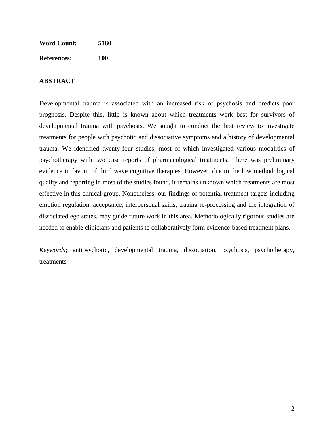| <b>Word Count:</b> | 5180 |
|--------------------|------|
| <b>References:</b> | 100  |

## **ABSTRACT**

Developmental trauma is associated with an increased risk of psychosis and predicts poor prognosis. Despite this, little is known about which treatments work best for survivors of developmental trauma with psychosis. We sought to conduct the first review to investigate treatments for people with psychotic and dissociative symptoms and a history of developmental trauma. We identified twenty-four studies, most of which investigated various modalities of psychotherapy with two case reports of pharmacological treatments. There was preliminary evidence in favour of third wave cognitive therapies. However, due to the low methodological quality and reporting in most of the studies found, it remains unknown which treatments are most effective in this clinical group. Nonetheless, our findings of potential treatment targets including emotion regulation, acceptance, interpersonal skills, trauma re-processing and the integration of dissociated ego states, may guide future work in this area. Methodologically rigorous studies are needed to enable clinicians and patients to collaboratively form evidence-based treatment plans.

*Keywords*; antipsychotic, developmental trauma, dissociation, psychosis, psychotherapy, treatments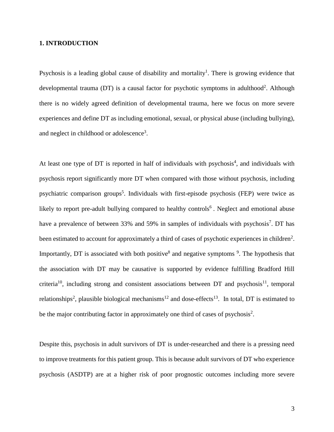## **1. INTRODUCTION**

Psychosis is a leading global cause of disability and mortality<sup>1</sup>. There is growing evidence that developmental trauma (DT) is a causal factor for psychotic symptoms in adulthood<sup>2</sup>. Although there is no widely agreed definition of developmental trauma, here we focus on more severe experiences and define DT as including emotional, sexual, or physical abuse (including bullying), and neglect in childhood or adolescence<sup>3</sup>.

At least one type of DT is reported in half of individuals with psychosis<sup>4</sup>, and individuals with psychosis report significantly more DT when compared with those without psychosis, including psychiatric comparison groups<sup>5</sup>. Individuals with first-episode psychosis (FEP) were twice as likely to report pre-adult bullying compared to healthy controls<sup>6</sup>. Neglect and emotional abuse have a prevalence of between 33% and 59% in samples of individuals with psychosis<sup>7</sup>. DT has been estimated to account for approximately a third of cases of psychotic experiences in children<sup>2</sup>. Importantly, DT is associated with both positive<sup>8</sup> and negative symptoms  $\frac{9}{1}$ . The hypothesis that the association with DT may be causative is supported by evidence fulfilling Bradford Hill criteria<sup>10</sup>, including strong and consistent associations between DT and psychosis<sup>11</sup>, temporal relationships<sup>2</sup>, plausible biological mechanisms<sup>12</sup> and dose-effects<sup>13</sup>. In total, DT is estimated to be the major contributing factor in approximately one third of cases of psychosis<sup>2</sup>.

Despite this, psychosis in adult survivors of DT is under-researched and there is a pressing need to improve treatments for this patient group. This is because adult survivors of DT who experience psychosis (ASDTP) are at a higher risk of poor prognostic outcomes including more severe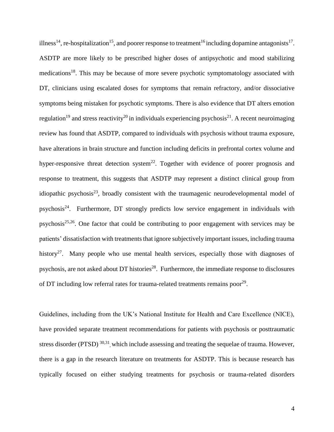illness<sup>14</sup>, re-hospitalization<sup>15</sup>, and poorer response to treatment<sup>16</sup> including dopamine antagonists<sup>17</sup>. ASDTP are more likely to be prescribed higher doses of antipsychotic and mood stabilizing medications<sup>18</sup>. This may be because of more severe psychotic symptomatology associated with DT, clinicians using escalated doses for symptoms that remain refractory, and/or dissociative symptoms being mistaken for psychotic symptoms. There is also evidence that DT alters emotion regulation<sup>19</sup> and stress reactivity<sup>20</sup> in individuals experiencing psychosis<sup>21</sup>. A recent neuroimaging review has found that ASDTP, compared to individuals with psychosis without trauma exposure, have alterations in brain structure and function including deficits in prefrontal cortex volume and hyper-responsive threat detection system<sup>22</sup>. Together with evidence of poorer prognosis and response to treatment, this suggests that ASDTP may represent a distinct clinical group from idiopathic psychosis $^{23}$ , broadly consistent with the traumagenic neurodevelopmental model of psychosis<sup>24</sup>. Furthermore, DT strongly predicts low service engagement in individuals with psychosis<sup>25,26</sup>. One factor that could be contributing to poor engagement with services may be patients' dissatisfaction with treatments that ignore subjectively important issues, including trauma history<sup>27</sup>. Many people who use mental health services, especially those with diagnoses of psychosis, are not asked about DT histories<sup>28</sup>. Furthermore, the immediate response to disclosures of DT including low referral rates for trauma-related treatments remains poor<sup>29</sup>.

Guidelines, including from the UK's National Institute for Health and Care Excellence (NICE), have provided separate treatment recommendations for patients with psychosis or posttraumatic stress disorder (PTSD)<sup>30,31</sup>, which include assessing and treating the sequelae of trauma. However, there is a gap in the research literature on treatments for ASDTP. This is because research has typically focused on either studying treatments for psychosis or trauma-related disorders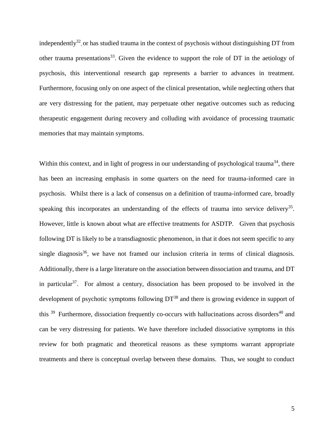independently<sup>32</sup>, or has studied trauma in the context of psychosis without distinguishing DT from other trauma presentations<sup>33</sup>. Given the evidence to support the role of DT in the aetiology of psychosis, this interventional research gap represents a barrier to advances in treatment. Furthermore, focusing only on one aspect of the clinical presentation, while neglecting others that are very distressing for the patient, may perpetuate other negative outcomes such as reducing therapeutic engagement during recovery and colluding with avoidance of processing traumatic memories that may maintain symptoms.

Within this context, and in light of progress in our understanding of psychological trauma<sup>34</sup>, there has been an increasing emphasis in some quarters on the need for trauma-informed care in psychosis. Whilst there is a lack of consensus on a definition of trauma-informed care, broadly speaking this incorporates an understanding of the effects of trauma into service delivery<sup>35</sup>. However, little is known about what are effective treatments for ASDTP. Given that psychosis following DT is likely to be a transdiagnostic phenomenon, in that it does not seem specific to any single diagnosis<sup>36</sup>, we have not framed our inclusion criteria in terms of clinical diagnosis. Additionally, there is a large literature on the association between dissociation and trauma, and DT in particular<sup>37</sup>. For almost a century, dissociation has been proposed to be involved in the development of psychotic symptoms following  $DT^{38}$  and there is growing evidence in support of this  $39$  Furthermore, dissociation frequently co-occurs with hallucinations across disorders<sup>40</sup> and can be very distressing for patients. We have therefore included dissociative symptoms in this review for both pragmatic and theoretical reasons as these symptoms warrant appropriate treatments and there is conceptual overlap between these domains. Thus, we sought to conduct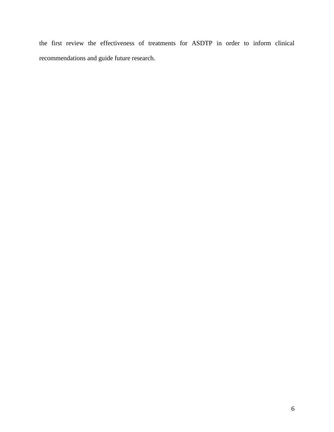the first review the effectiveness of treatments for ASDTP in order to inform clinical recommendations and guide future research.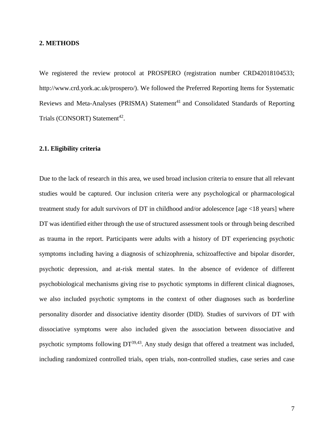#### **2. METHODS**

We registered the review protocol at PROSPERO (registration number CRD42018104533; http://www.crd.york.ac.uk/prospero/). We followed the Preferred Reporting Items for Systematic Reviews and Meta-Analyses (PRISMA) Statement<sup>41</sup> and Consolidated Standards of Reporting Trials (CONSORT) Statement<sup>42</sup>.

#### **2.1. Eligibility criteria**

Due to the lack of research in this area, we used broad inclusion criteria to ensure that all relevant studies would be captured. Our inclusion criteria were any psychological or pharmacological treatment study for adult survivors of DT in childhood and/or adolescence [age <18 years] where DT was identified either through the use of structured assessment tools or through being described as trauma in the report. Participants were adults with a history of DT experiencing psychotic symptoms including having a diagnosis of schizophrenia, schizoaffective and bipolar disorder, psychotic depression, and at-risk mental states. In the absence of evidence of different psychobiological mechanisms giving rise to psychotic symptoms in different clinical diagnoses, we also included psychotic symptoms in the context of other diagnoses such as borderline personality disorder and dissociative identity disorder (DID). Studies of survivors of DT with dissociative symptoms were also included given the association between dissociative and psychotic symptoms following  $DT^{39,43}$ . Any study design that offered a treatment was included, including randomized controlled trials, open trials, non-controlled studies, case series and case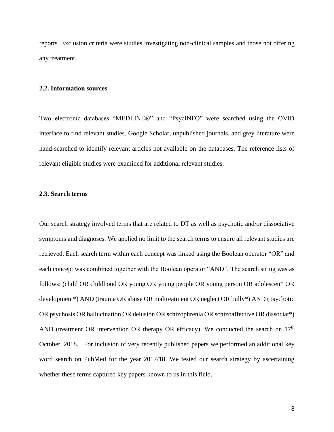reports. Exclusion criteria were studies investigating non-clinical samples and those not offering any treatment.

#### **2.2. Information sources**

Two electronic databases "MEDLINE®" and "PsycINFO" were searched using the OVID interface to find relevant studies. Google Scholar, unpublished journals, and grey literature were hand-searched to identify relevant articles not available on the databases. The reference lists of relevant eligible studies were examined for additional relevant studies.

## **2.3. Search terms**

Our search strategy involved terms that are related to DT as well as psychotic and/or dissociative symptoms and diagnoses. We applied no limit to the search terms to ensure all relevant studies are retrieved. Each search term within each concept was linked using the Boolean operator "OR" and each concept was combined together with the Boolean operator "AND". The search string was as follows: (child OR childhood OR young OR young people OR young person OR adolescen\* OR development\*) AND (trauma OR abuse OR maltreatment OR neglect OR bully\*) AND (psychotic OR psychosis OR hallucination OR delusion OR schizophrenia OR schizoaffective OR dissociat\*) AND (treatment OR intervention OR therapy OR efficacy). We conducted the search on  $17<sup>th</sup>$ October, 2018. For inclusion of very recently published papers we performed an additional key word search on PubMed for the year 2017/18. We tested our search strategy by ascertaining whether these terms captured key papers known to us in this field.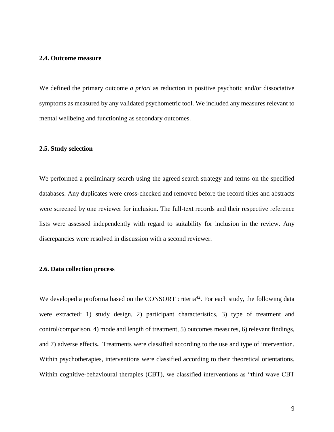#### **2.4. Outcome measure**

We defined the primary outcome *a priori* as reduction in positive psychotic and/or dissociative symptoms as measured by any validated psychometric tool. We included any measures relevant to mental wellbeing and functioning as secondary outcomes.

#### **2.5. Study selection**

We performed a preliminary search using the agreed search strategy and terms on the specified databases. Any duplicates were cross-checked and removed before the record titles and abstracts were screened by one reviewer for inclusion. The full-text records and their respective reference lists were assessed independently with regard to suitability for inclusion in the review. Any discrepancies were resolved in discussion with a second reviewer.

#### **2.6. Data collection process**

We developed a proforma based on the CONSORT criteria<sup>42</sup>. For each study, the following data were extracted: 1) study design, 2) participant characteristics, 3) type of treatment and control/comparison, 4) mode and length of treatment, 5) outcomes measures, 6) relevant findings, and 7) adverse effects**.** Treatments were classified according to the use and type of intervention. Within psychotherapies, interventions were classified according to their theoretical orientations. Within cognitive-behavioural therapies (CBT), we classified interventions as "third wave CBT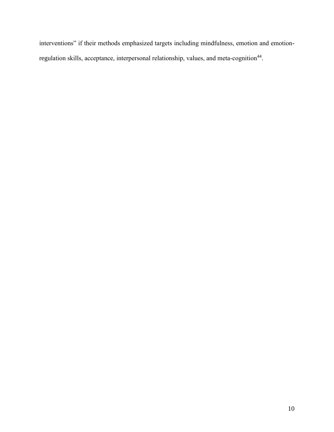interventions" if their methods emphasized targets including mindfulness, emotion and emotionregulation skills, acceptance, interpersonal relationship, values, and meta-cognition<sup>44</sup>.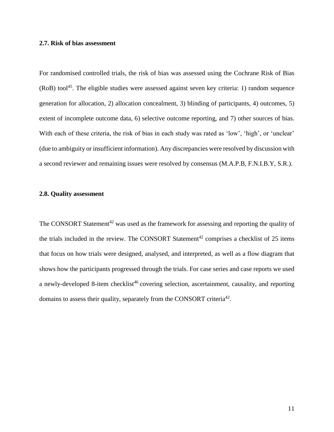#### **2.7. Risk of bias assessment**

For randomised controlled trials, the risk of bias was assessed using the Cochrane Risk of Bias  $(RoB)$  tool<sup>45</sup>. The eligible studies were assessed against seven key criteria: 1) random sequence generation for allocation, 2) allocation concealment, 3) blinding of participants, 4) outcomes, 5) extent of incomplete outcome data, 6) selective outcome reporting, and 7) other sources of bias. With each of these criteria, the risk of bias in each study was rated as 'low', 'high', or 'unclear' (due to ambiguity or insufficient information). Any discrepancies were resolved by discussion with a second reviewer and remaining issues were resolved by consensus (M.A.P.B, F.N.I.B.Y, S.R.).

#### **2.8. Quality assessment**

The CONSORT Statement<sup>42</sup> was used as the framework for assessing and reporting the quality of the trials included in the review. The CONSORT Statement<sup>42</sup> comprises a checklist of 25 items that focus on how trials were designed, analysed, and interpreted, as well as a flow diagram that shows how the participants progressed through the trials. For case series and case reports we used a newly-developed 8-item checklist<sup>46</sup> covering selection, ascertainment, causality, and reporting domains to assess their quality, separately from the CONSORT criteria<sup>42</sup>.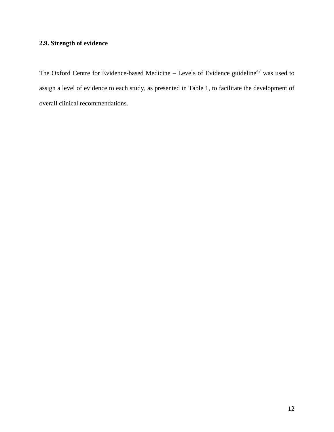# **2.9. Strength of evidence**

The Oxford Centre for Evidence-based Medicine – Levels of Evidence guideline<sup>47</sup> was used to assign a level of evidence to each study, as presented in Table 1, to facilitate the development of overall clinical recommendations.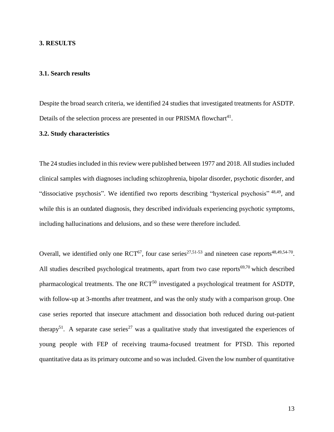#### **3. RESULTS**

#### **3.1. Search results**

Despite the broad search criteria, we identified 24 studies that investigated treatments for ASDTP. Details of the selection process are presented in our PRISMA flowchart<sup>41</sup>.

#### **3.2. Study characteristics**

The 24 studies included in this review were published between 1977 and 2018. All studies included clinical samples with diagnoses including schizophrenia, bipolar disorder, psychotic disorder, and "dissociative psychosis". We identified two reports describing "hysterical psychosis" <sup>48,49</sup>, and while this is an outdated diagnosis, they described individuals experiencing psychotic symptoms, including hallucinations and delusions, and so these were therefore included.

Overall, we identified only one  $\text{RCT}^{67}$ , four case series<sup>27,51-53</sup> and nineteen case reports<sup>48,49,54-70</sup>. All studies described psychological treatments, apart from two case reports $69,70$  which described pharmacological treatments. The one RCT<sup>50</sup> investigated a psychological treatment for ASDTP, with follow-up at 3-months after treatment, and was the only study with a comparison group. One case series reported that insecure attachment and dissociation both reduced during out-patient therapy<sup>51</sup>. A separate case series<sup>27</sup> was a qualitative study that investigated the experiences of young people with FEP of receiving trauma-focused treatment for PTSD. This reported quantitative data asits primary outcome and so was included. Given the low number of quantitative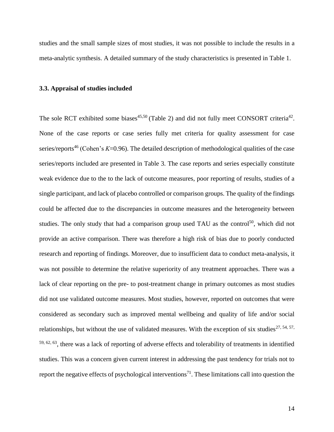studies and the small sample sizes of most studies, it was not possible to include the results in a meta-analytic synthesis. A detailed summary of the study characteristics is presented in Table 1.

#### **3.3. Appraisal of studies included**

The sole RCT exhibited some biases<sup>45,50</sup> (Table 2) and did not fully meet CONSORT criteria<sup>42</sup>. None of the case reports or case series fully met criteria for quality assessment for case series/reports <sup>46</sup> (Cohen's *Κ*=0.96). The detailed description of methodological qualities of the case series/reports included are presented in Table 3. The case reports and series especially constitute weak evidence due to the to the lack of outcome measures, poor reporting of results, studies of a single participant, and lack of placebo controlled or comparison groups. The quality of the findings could be affected due to the discrepancies in outcome measures and the heterogeneity between studies. The only study that had a comparison group used TAU as the control<sup>50</sup>, which did not provide an active comparison. There was therefore a high risk of bias due to poorly conducted research and reporting of findings. Moreover, due to insufficient data to conduct meta-analysis, it was not possible to determine the relative superiority of any treatment approaches. There was a lack of clear reporting on the pre- to post-treatment change in primary outcomes as most studies did not use validated outcome measures. Most studies, however, reported on outcomes that were considered as secondary such as improved mental wellbeing and quality of life and/or social relationships, but without the use of validated measures. With the exception of six studies<sup>27, 54, 57,</sup>  $59, 62, 63$ , there was a lack of reporting of adverse effects and tolerability of treatments in identified studies. This was a concern given current interest in addressing the past tendency for trials not to report the negative effects of psychological interventions<sup>71</sup>. These limitations call into question the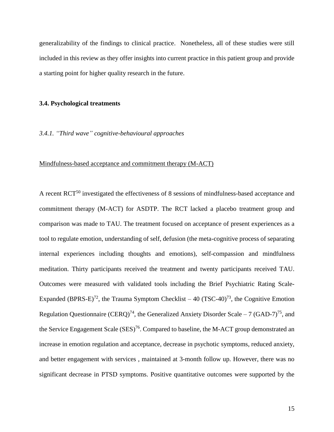generalizability of the findings to clinical practice. Nonetheless, all of these studies were still included in this review as they offer insights into current practice in this patient group and provide a starting point for higher quality research in the future.

#### **3.4. Psychological treatments**

#### *3.4.1. "Third wave" cognitive-behavioural approaches*

#### Mindfulness-based acceptance and commitment therapy (M-ACT)

A recent RCT<sup>50</sup> investigated the effectiveness of 8 sessions of mindfulness-based acceptance and commitment therapy (M-ACT) for ASDTP. The RCT lacked a placebo treatment group and comparison was made to TAU. The treatment focused on acceptance of present experiences as a tool to regulate emotion, understanding of self, defusion (the meta-cognitive process of separating internal experiences including thoughts and emotions), self-compassion and mindfulness meditation. Thirty participants received the treatment and twenty participants received TAU. Outcomes were measured with validated tools including the Brief Psychiatric Rating Scale-Expanded (BPRS-E)<sup>72</sup>, the Trauma Symptom Checklist – 40 (TSC-40)<sup>73</sup>, the Cognitive Emotion Regulation Questionnaire (CERQ)<sup>74</sup>, the Generalized Anxiety Disorder Scale – 7 (GAD-7)<sup>75</sup>, and the Service Engagement Scale (SES)<sup>76</sup>. Compared to baseline, the M-ACT group demonstrated an increase in emotion regulation and acceptance, decrease in psychotic symptoms, reduced anxiety, and better engagement with services , maintained at 3-month follow up. However, there was no significant decrease in PTSD symptoms. Positive quantitative outcomes were supported by the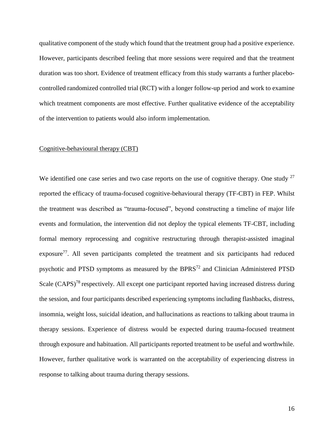qualitative component of the study which found that the treatment group had a positive experience. However, participants described feeling that more sessions were required and that the treatment duration was too short. Evidence of treatment efficacy from this study warrants a further placebocontrolled randomized controlled trial (RCT) with a longer follow-up period and work to examine which treatment components are most effective. Further qualitative evidence of the acceptability of the intervention to patients would also inform implementation.

## Cognitive-behavioural therapy (CBT)

We identified one case series and two case reports on the use of cognitive therapy. One study  $27$ reported the efficacy of trauma-focused cognitive-behavioural therapy (TF-CBT) in FEP. Whilst the treatment was described as "trauma-focused", beyond constructing a timeline of major life events and formulation, the intervention did not deploy the typical elements TF-CBT, including formal memory reprocessing and cognitive restructuring through therapist-assisted imaginal exposure<sup>77</sup>. All seven participants completed the treatment and six participants had reduced psychotic and PTSD symptoms as measured by the BPRS<sup>72</sup> and Clinician Administered PTSD Scale (CAPS)<sup>78</sup> respectively. All except one participant reported having increased distress during the session, and four participants described experiencing symptoms including flashbacks, distress, insomnia, weight loss, suicidal ideation, and hallucinations as reactions to talking about trauma in therapy sessions. Experience of distress would be expected during trauma-focused treatment through exposure and habituation. All participants reported treatment to be useful and worthwhile. However, further qualitative work is warranted on the acceptability of experiencing distress in response to talking about trauma during therapy sessions.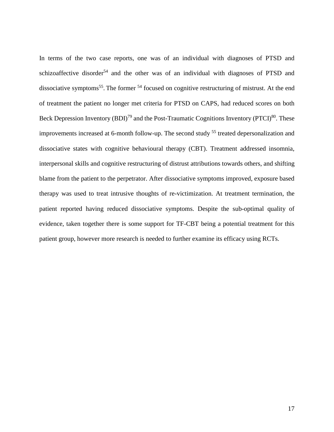In terms of the two case reports, one was of an individual with diagnoses of PTSD and schizoaffective disorder<sup>54</sup> and the other was of an individual with diagnoses of PTSD and dissociative symptoms<sup>55</sup>. The former <sup>54</sup> focused on cognitive restructuring of mistrust. At the end of treatment the patient no longer met criteria for PTSD on CAPS, had reduced scores on both Beck Depression Inventory  $(BDI)^{79}$  and the Post-Traumatic Cognitions Inventory (PTCI)<sup>80</sup>. These improvements increased at 6-month follow-up. The second study <sup>55</sup> treated depersonalization and dissociative states with cognitive behavioural therapy (CBT). Treatment addressed insomnia, interpersonal skills and cognitive restructuring of distrust attributions towards others, and shifting blame from the patient to the perpetrator. After dissociative symptoms improved, exposure based therapy was used to treat intrusive thoughts of re-victimization. At treatment termination, the patient reported having reduced dissociative symptoms. Despite the sub-optimal quality of evidence, taken together there is some support for TF-CBT being a potential treatment for this patient group, however more research is needed to further examine its efficacy using RCTs.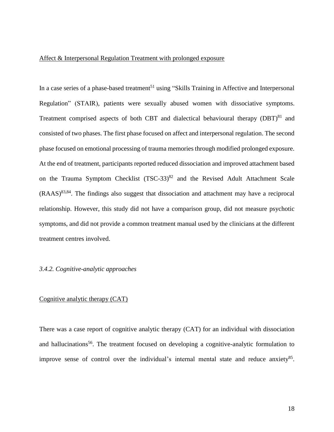## Affect & Interpersonal Regulation Treatment with prolonged exposure

In a case series of a phase-based treatment<sup>51</sup> using "Skills Training in Affective and Interpersonal Regulation" (STAIR), patients were sexually abused women with dissociative symptoms. Treatment comprised aspects of both CBT and dialectical behavioural therapy  $(DBT)^{81}$  and consisted of two phases. The first phase focused on affect and interpersonal regulation. The second phase focused on emotional processing of trauma memories through modified prolonged exposure. At the end of treatment, participants reported reduced dissociation and improved attachment based on the Trauma Symptom Checklist  $(TSC-33)^{82}$  and the Revised Adult Attachment Scale  $(RAAS)^{83,84}$ . The findings also suggest that dissociation and attachment may have a reciprocal relationship. However, this study did not have a comparison group, did not measure psychotic symptoms, and did not provide a common treatment manual used by the clinicians at the different treatment centres involved.

#### *3.4.2. Cognitive-analytic approaches*

#### Cognitive analytic therapy (CAT)

There was a case report of cognitive analytic therapy (CAT) for an individual with dissociation and hallucinations<sup>56</sup>. The treatment focused on developing a cognitive-analytic formulation to improve sense of control over the individual's internal mental state and reduce anxiety<sup>85</sup>.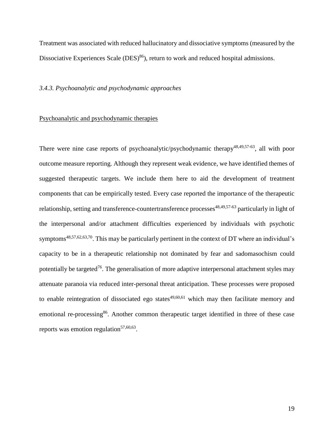Treatment was associated with reduced hallucinatory and dissociative symptoms (measured by the Dissociative Experiences Scale  $(DES)^{86}$ , return to work and reduced hospital admissions.

## *3.4.3. Psychoanalytic and psychodynamic approaches*

#### Psychoanalytic and psychodynamic therapies

There were nine case reports of psychoanalytic/psychodynamic therapy<sup>48,49,57-63</sup>, all with poor outcome measure reporting. Although they represent weak evidence, we have identified themes of suggested therapeutic targets. We include them here to aid the development of treatment components that can be empirically tested. Every case reported the importance of the therapeutic relationship, setting and transference-countertransference processes<sup>48,49,57-63</sup> particularly in light of the interpersonal and/or attachment difficulties experienced by individuals with psychotic symptoms<sup>48,57,62,63,70</sup>. This may be particularly pertinent in the context of DT where an individual's capacity to be in a therapeutic relationship not dominated by fear and sadomasochism could potentially be targeted<sup>76</sup>. The generalisation of more adaptive interpersonal attachment styles may attenuate paranoia via reduced inter-personal threat anticipation. These processes were proposed to enable reintegration of dissociated ego states<sup>49,60,61</sup> which may then facilitate memory and emotional re-processing<sup>86</sup>. Another common therapeutic target identified in three of these case reports was emotion regulation<sup>57,60,63</sup>.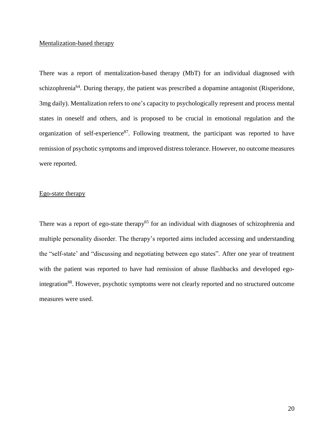#### Mentalization-based therapy

There was a report of mentalization-based therapy (MbT) for an individual diagnosed with schizophrenia<sup>64</sup>. During therapy, the patient was prescribed a dopamine antagonist (Risperidone, 3mg daily). Mentalization refers to one's capacity to psychologically represent and process mental states in oneself and others, and is proposed to be crucial in emotional regulation and the organization of self-experience<sup>87</sup>. Following treatment, the participant was reported to have remission of psychotic symptoms and improved distress tolerance. However, no outcome measures were reported.

## Ego-state therapy

There was a report of ego-state therapy<sup>65</sup> for an individual with diagnoses of schizophrenia and multiple personality disorder. The therapy's reported aims included accessing and understanding the "self-state' and "discussing and negotiating between ego states". After one year of treatment with the patient was reported to have had remission of abuse flashbacks and developed egointegration<sup>88</sup>. However, psychotic symptoms were not clearly reported and no structured outcome measures were used.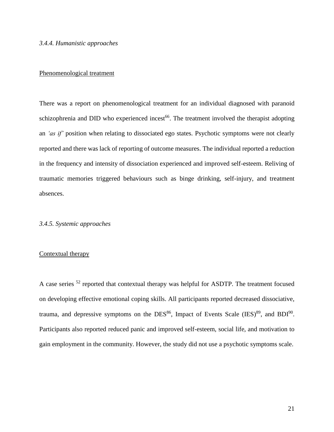#### *3.4.4. Humanistic approaches*

## Phenomenological treatment

There was a report on phenomenological treatment for an individual diagnosed with paranoid schizophrenia and DID who experienced incest<sup>66</sup>. The treatment involved the therapist adopting an *'as if'* position when relating to dissociated ego states. Psychotic symptoms were not clearly reported and there was lack of reporting of outcome measures. The individual reported a reduction in the frequency and intensity of dissociation experienced and improved self-esteem. Reliving of traumatic memories triggered behaviours such as binge drinking, self-injury, and treatment absences.

#### *3.4.5. Systemic approaches*

#### Contextual therapy

A case series <sup>52</sup> reported that contextual therapy was helpful for ASDTP. The treatment focused on developing effective emotional coping skills. All participants reported decreased dissociative, trauma, and depressive symptoms on the DES<sup>86</sup>, Impact of Events Scale (IES)<sup>89</sup>, and BDI<sup>90</sup>. Participants also reported reduced panic and improved self-esteem, social life, and motivation to gain employment in the community. However, the study did not use a psychotic symptoms scale.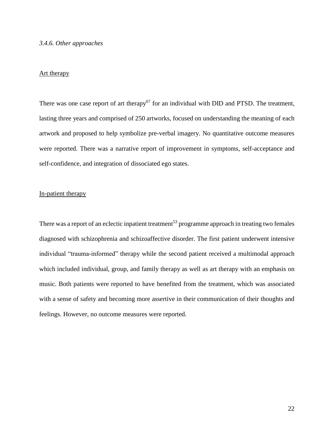#### *3.4.6. Other approaches*

## Art therapy

There was one case report of art therapy<sup>67</sup> for an individual with DID and PTSD. The treatment, lasting three years and comprised of 250 artworks, focused on understanding the meaning of each artwork and proposed to help symbolize pre-verbal imagery. No quantitative outcome measures were reported. There was a narrative report of improvement in symptoms, self-acceptance and self-confidence, and integration of dissociated ego states.

## In-patient therapy

There was a report of an eclectic inpatient treatment<sup>53</sup> programme approach in treating two females diagnosed with schizophrenia and schizoaffective disorder. The first patient underwent intensive individual "trauma-informed" therapy while the second patient received a multimodal approach which included individual, group, and family therapy as well as art therapy with an emphasis on music. Both patients were reported to have benefited from the treatment, which was associated with a sense of safety and becoming more assertive in their communication of their thoughts and feelings. However, no outcome measures were reported.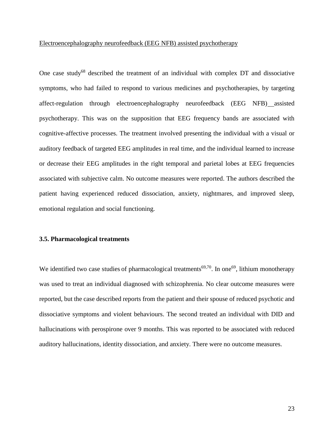#### Electroencephalography neurofeedback (EEG NFB) assisted psychotherapy

One case study<sup>68</sup> described the treatment of an individual with complex DT and dissociative symptoms, who had failed to respond to various medicines and psychotherapies, by targeting affect-regulation through electroencephalography neurofeedback (EEG NFB) assisted psychotherapy. This was on the supposition that EEG frequency bands are associated with cognitive-affective processes. The treatment involved presenting the individual with a visual or auditory feedback of targeted EEG amplitudes in real time, and the individual learned to increase or decrease their EEG amplitudes in the right temporal and parietal lobes at EEG frequencies associated with subjective calm. No outcome measures were reported. The authors described the patient having experienced reduced dissociation, anxiety, nightmares, and improved sleep, emotional regulation and social functioning.

#### **3.5. Pharmacological treatments**

We identified two case studies of pharmacological treatments<sup>69,70</sup>. In one<sup>69</sup>, lithium monotherapy was used to treat an individual diagnosed with schizophrenia. No clear outcome measures were reported, but the case described reports from the patient and their spouse of reduced psychotic and dissociative symptoms and violent behaviours. The second treated an individual with DID and hallucinations with perospirone over 9 months. This was reported to be associated with reduced auditory hallucinations, identity dissociation, and anxiety. There were no outcome measures.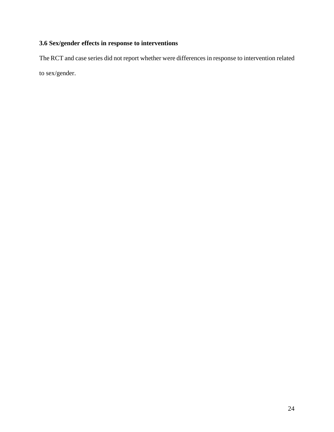# **3.6 Sex/gender effects in response to interventions**

The RCT and case series did not report whether were differences in response to intervention related to sex/gender.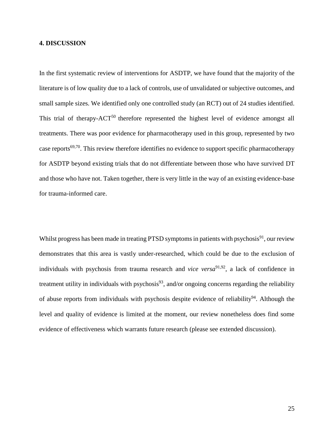#### **4. DISCUSSION**

In the first systematic review of interventions for ASDTP, we have found that the majority of the literature is of low quality due to a lack of controls, use of unvalidated or subjective outcomes, and small sample sizes. We identified only one controlled study (an RCT) out of 24 studies identified. This trial of therapy-ACT<sup>50</sup> therefore represented the highest level of evidence amongst all treatments. There was poor evidence for pharmacotherapy used in this group, represented by two case reports<sup>69,70</sup>. This review therefore identifies no evidence to support specific pharmacotherapy for ASDTP beyond existing trials that do not differentiate between those who have survived DT and those who have not. Taken together, there is very little in the way of an existing evidence-base for trauma-informed care.

Whilst progress has been made in treating PTSD symptoms in patients with psychosis $91$ , our review demonstrates that this area is vastly under-researched, which could be due to the exclusion of individuals with psychosis from trauma research and *vice versa*<sup>91,92</sup>, a lack of confidence in treatment utility in individuals with psychosis $93$ , and/or ongoing concerns regarding the reliability of abuse reports from individuals with psychosis despite evidence of reliability<sup>94</sup>. Although the level and quality of evidence is limited at the moment, our review nonetheless does find some evidence of effectiveness which warrants future research (please see extended discussion).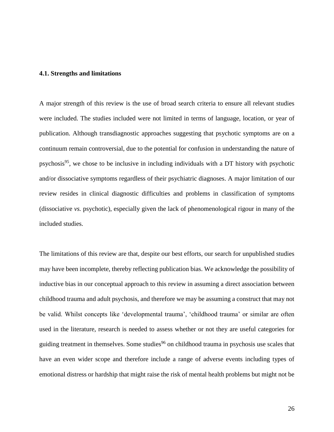#### **4.1. Strengths and limitations**

A major strength of this review is the use of broad search criteria to ensure all relevant studies were included. The studies included were not limited in terms of language, location, or year of publication. Although transdiagnostic approaches suggesting that psychotic symptoms are on a continuum remain controversial, due to the potential for confusion in understanding the nature of psychosis<sup>95</sup>, we chose to be inclusive in including individuals with a DT history with psychotic and/or dissociative symptoms regardless of their psychiatric diagnoses. A major limitation of our review resides in clinical diagnostic difficulties and problems in classification of symptoms (dissociative *vs.* psychotic), especially given the lack of phenomenological rigour in many of the included studies.

The limitations of this review are that, despite our best efforts, our search for unpublished studies may have been incomplete, thereby reflecting publication bias. We acknowledge the possibility of inductive bias in our conceptual approach to this review in assuming a direct association between childhood trauma and adult psychosis, and therefore we may be assuming a construct that may not be valid. Whilst concepts like 'developmental trauma', 'childhood trauma' or similar are often used in the literature, research is needed to assess whether or not they are useful categories for guiding treatment in themselves. Some studies<sup>96</sup> on childhood trauma in psychosis use scales that have an even wider scope and therefore include a range of adverse events including types of emotional distress or hardship that might raise the risk of mental health problems but might not be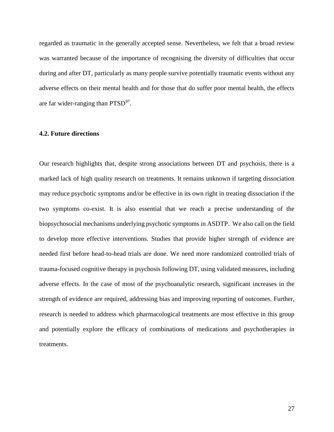regarded as traumatic in the generally accepted sense. Nevertheless, we felt that a broad review was warranted because of the importance of recognising the diversity of difficulties that occur during and after DT, particularly as many people survive potentially traumatic events without any adverse effects on their mental health and for those that do suffer poor mental health, the effects are far wider-ranging than  $PTSD^{97}$ .

#### **4.2. Future directions**

Our research highlights that, despite strong associations between DT and psychosis, there is a marked lack of high quality research on treatments. It remains unknown if targeting dissociation may reduce psychotic symptoms and/or be effective in its own right in treating dissociation if the two symptoms co-exist. It is also essential that we reach a precise understanding of the biopsychosocial mechanisms underlying psychotic symptoms in ASDTP. We also call on the field to develop more effective interventions. Studies that provide higher strength of evidence are needed first before head-to-head trials are done. We need more randomized controlled trials of trauma-focused cognitive therapy in psychosis following DT, using validated measures, including adverse effects. In the case of most of the psychoanalytic research, significant increases in the strength of evidence are required, addressing bias and improving reporting of outcomes. Further, research is needed to address which pharmacological treatments are most effective in this group and potentially explore the efficacy of combinations of medications and psychotherapies in treatments.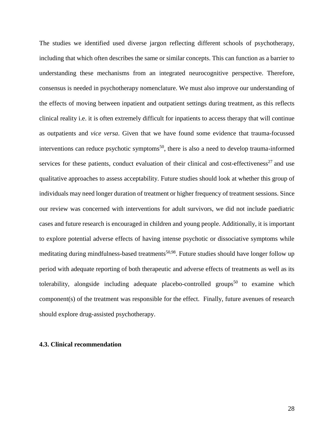The studies we identified used diverse jargon reflecting different schools of psychotherapy, including that which often describes the same or similar concepts. This can function as a barrier to understanding these mechanisms from an integrated neurocognitive perspective. Therefore, consensus is needed in psychotherapy nomenclature. We must also improve our understanding of the effects of moving between inpatient and outpatient settings during treatment, as this reflects clinical reality i.e. it is often extremely difficult for inpatients to access therapy that will continue as outpatients and *vice versa*. Given that we have found some evidence that trauma-focussed interventions can reduce psychotic symptoms<sup>50</sup>, there is also a need to develop trauma-informed services for these patients, conduct evaluation of their clinical and cost-effectiveness<sup>27</sup> and use qualitative approaches to assess acceptability. Future studies should look at whether this group of individuals may need longer duration of treatment or higher frequency of treatment sessions. Since our review was concerned with interventions for adult survivors, we did not include paediatric cases and future research is encouraged in children and young people. Additionally, it is important to explore potential adverse effects of having intense psychotic or dissociative symptoms while meditating during mindfulness-based treatments<sup>50,98</sup>. Future studies should have longer follow up period with adequate reporting of both therapeutic and adverse effects of treatments as well as its tolerability, alongside including adequate placebo-controlled groups<sup>50</sup> to examine which component(s) of the treatment was responsible for the effect. Finally, future avenues of research should explore drug-assisted psychotherapy.

#### **4.3. Clinical recommendation**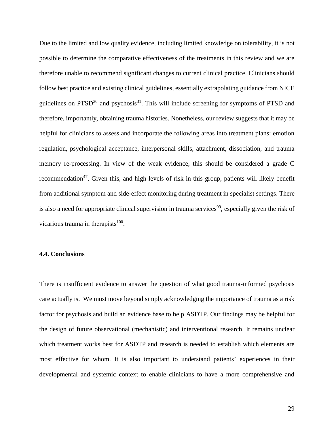Due to the limited and low quality evidence, including limited knowledge on tolerability, it is not possible to determine the comparative effectiveness of the treatments in this review and we are therefore unable to recommend significant changes to current clinical practice. Clinicians should follow best practice and existing clinical guidelines, essentially extrapolating guidance from NICE guidelines on  $PTSD<sup>30</sup>$  and psychosis<sup>31</sup>. This will include screening for symptoms of PTSD and therefore, importantly, obtaining trauma histories. Nonetheless, our review suggests that it may be helpful for clinicians to assess and incorporate the following areas into treatment plans: emotion regulation, psychological acceptance, interpersonal skills, attachment, dissociation, and trauma memory re-processing. In view of the weak evidence, this should be considered a grade C recommendation<sup>47</sup>. Given this, and high levels of risk in this group, patients will likely benefit from additional symptom and side-effect monitoring during treatment in specialist settings. There is also a need for appropriate clinical supervision in trauma services<sup>99</sup>, especially given the risk of vicarious trauma in therapists $100$ .

#### **4.4. Conclusions**

There is insufficient evidence to answer the question of what good trauma-informed psychosis care actually is. We must move beyond simply acknowledging the importance of trauma as a risk factor for psychosis and build an evidence base to help ASDTP. Our findings may be helpful for the design of future observational (mechanistic) and interventional research. It remains unclear which treatment works best for ASDTP and research is needed to establish which elements are most effective for whom. It is also important to understand patients' experiences in their developmental and systemic context to enable clinicians to have a more comprehensive and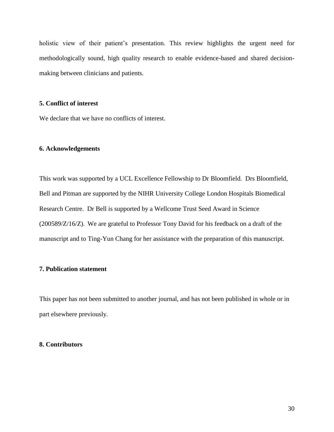holistic view of their patient's presentation. This review highlights the urgent need for methodologically sound, high quality research to enable evidence-based and shared decisionmaking between clinicians and patients.

## **5. Conflict of interest**

We declare that we have no conflicts of interest.

#### **6. Acknowledgements**

This work was supported by a UCL Excellence Fellowship to Dr Bloomfield. Drs Bloomfield, Bell and Pitman are supported by the NIHR University College London Hospitals Biomedical Research Centre. Dr Bell is supported by a Wellcome Trust Seed Award in Science (200589/Z/16/Z). We are grateful to Professor Tony David for his feedback on a draft of the manuscript and to Ting-Yun Chang for her assistance with the preparation of this manuscript.

## **7. Publication statement**

This paper has not been submitted to another journal, and has not been published in whole or in part elsewhere previously.

#### **8. Contributors**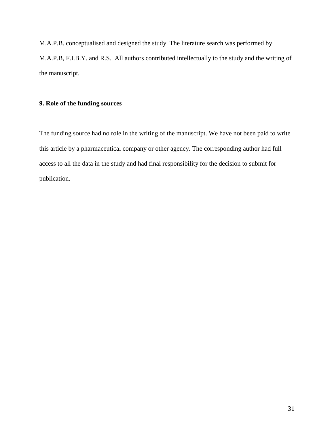M.A.P.B. conceptualised and designed the study. The literature search was performed by M.A.P.B, F.I.B.Y. and R.S. All authors contributed intellectually to the study and the writing of the manuscript.

## **9. Role of the funding sources**

The funding source had no role in the writing of the manuscript. We have not been paid to write this article by a pharmaceutical company or other agency. The corresponding author had full access to all the data in the study and had final responsibility for the decision to submit for publication.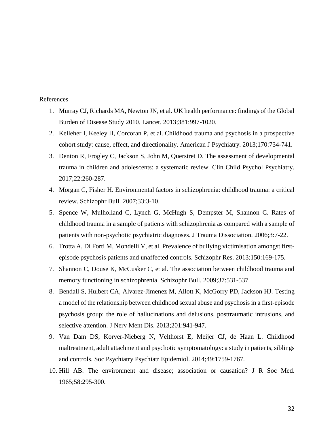## References

- 1. Murray CJ, Richards MA, Newton JN, et al. UK health performance: findings of the Global Burden of Disease Study 2010. Lancet. 2013;381:997-1020.
- 2. Kelleher I, Keeley H, Corcoran P, et al. Childhood trauma and psychosis in a prospective cohort study: cause, effect, and directionality. American J Psychiatry. 2013;170:734-741.
- 3. Denton R, Frogley C, Jackson S, John M, Querstret D. The assessment of developmental trauma in children and adolescents: a systematic review. Clin Child Psychol Psychiatry. 2017;22:260-287.
- 4. Morgan C, Fisher H. Environmental factors in schizophrenia: childhood trauma: a critical review. Schizophr Bull. 2007;33:3-10.
- 5. Spence W, Mulholland C, Lynch G, McHugh S, Dempster M, Shannon C. Rates of childhood trauma in a sample of patients with schizophrenia as compared with a sample of patients with non-psychotic psychiatric diagnoses. J Trauma Dissociation. 2006;3:7-22.
- 6. Trotta A, Di Forti M, Mondelli V, et al. Prevalence of bullying victimisation amongst firstepisode psychosis patients and unaffected controls. Schizophr Res. 2013;150:169-175.
- 7. Shannon C, Douse K, McCusker C, et al. The association between childhood trauma and memory functioning in schizophrenia. Schizophr Bull. 2009;37:531-537.
- 8. Bendall S, Hulbert CA, Alvarez-Jimenez M, Allott K, McGorry PD, Jackson HJ. Testing a model of the relationship between childhood sexual abuse and psychosis in a first-episode psychosis group: the role of hallucinations and delusions, posttraumatic intrusions, and selective attention. J Nerv Ment Dis. 2013;201:941-947.
- 9. Van Dam DS, Korver-Nieberg N, Velthorst E, Meijer CJ, de Haan L. Childhood maltreatment, adult attachment and psychotic symptomatology: a study in patients, siblings and controls. Soc Psychiatry Psychiatr Epidemiol. 2014;49:1759-1767.
- 10. Hill AB. The environment and disease; association or causation? J R Soc Med. 1965;58:295-300.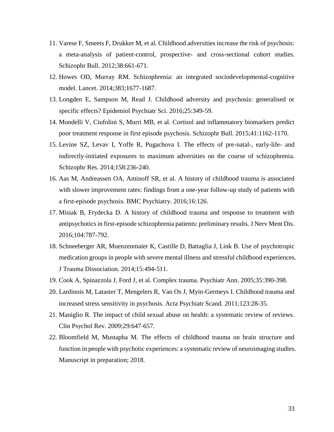- 11. Varese F, Smeets F, Drukker M, et al. Childhood adversities increase the risk of psychosis: a meta-analysis of patient-control, prospective- and cross-sectional cohort studies. Schizophr Bull. 2012;38:661-671.
- 12. Howes OD, Murray RM. Schizophrenia: an integrated sociodevelopmental-cognitive model. Lancet. 2014;383;1677-1687.
- 13. Longden E, Sampson M, Read J. Childhood adversity and psychosis: generalised or specific effects? Epidemiol Psychiatr Sci. 2016;25:349-59.
- 14. Mondelli V, Ciufolini S, Murri MB, et al. Cortisol and inflammatory biomarkers predict poor treatment response in first episode psychosis. Schizophr Bull. 2015;41:1162-1170.
- 15. Levine SZ, Levav I, Yoffe R, Pugachova I. The effects of pre-natal-, early-life- and indirectly-initiated exposures to maximum adversities on the course of schizophrenia. Schizophr Res. 2014;158:236-240.
- 16. Aas M, Andreassen OA, Aminoff SR, et al. A history of childhood trauma is associated with slower improvement rates: findings from a one-year follow-up study of patients with a first-episode psychosis. BMC Psychiatry. 2016;16:126.
- 17. Misiak B, Frydecka D. A history of childhood trauma and response to treatment with antipsychotics in first-episode schizophrenia patients: preliminary results. J Nerv Ment Dis. 2016;104:787-792.
- 18. Schneeberger AR, Muenzenmaier K, Castille D, Battaglia J, Link B. Use of psychotropic medication groups in people with severe mental illness and stressful childhood experiences. J Trauma Dissociation. 2014;15:494-511.
- 19. Cook A, Spinazzola J, Ford J, et al. Complex trauma. Psychiatr Ann. 2005;35:390-398.
- 20. Lardinois M, Lataster T, Mengelers R, Van Os J, Myin‐Germeys I. Childhood trauma and increased stress sensitivity in psychosis. Acta Psychiatr Scand. 2011;123:28-35.
- 21. Maniglio R. The impact of child sexual abuse on health: a systematic review of reviews. Clin Psychol Rev. 2009;29:647-657.
- 22. Bloomfield M, Mustapha M. The effects of childhood trauma on brain structure and function in people with psychotic experiences: a systematic review of neuroimaging studies. Manuscript in preparation; 2018.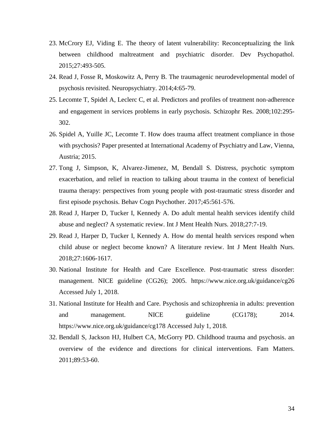- 23. McCrory EJ, Viding E. The theory of latent vulnerability: Reconceptualizing the link between childhood maltreatment and psychiatric disorder. Dev Psychopathol. 2015;27:493-505.
- 24. Read J, Fosse R, Moskowitz A, Perry B. The traumagenic neurodevelopmental model of psychosis revisited. Neuropsychiatry. 2014;4:65-79.
- 25. Lecomte T, Spidel A, Leclerc C, et al. Predictors and profiles of treatment non‐adherence and engagement in services problems in early psychosis. Schizophr Res. 2008;102:295- 302.
- 26. Spidel A, Yuille JC, Lecomte T. How does trauma affect treatment compliance in those with psychosis? Paper presented at International Academy of Psychiatry and Law, Vienna, Austria; 2015.
- 27. Tong J, Simpson, K, Alvarez-Jimenez, M, Bendall S. Distress, psychotic symptom exacerbation, and relief in reaction to talking about trauma in the context of beneficial trauma therapy: perspectives from young people with post-traumatic stress disorder and first episode psychosis. Behav Cogn Psychother. 2017;45:561-576.
- 28. Read J, Harper D, Tucker I, Kennedy A. Do adult mental health services identify child abuse and neglect? A systematic review. Int J Ment Health Nurs. 2018;27:7-19.
- 29. Read J, Harper D, Tucker I, Kennedy A. How do mental health services respond when child abuse or neglect become known? A literature review. Int J Ment Health Nurs. 2018;27:1606-1617.
- 30. National Institute for Health and Care Excellence. Post-traumatic stress disorder: management. NICE guideline (CG26); 2005. https://www.nice.org.uk/guidance/cg26 Accessed July 1, 2018.
- 31. National Institute for Health and Care. Psychosis and schizophrenia in adults: prevention and management. NICE guideline (CG178); 2014. https://www.nice.org.uk/guidance/cg178 Accessed July 1, 2018.
- 32. Bendall S, Jackson HJ, Hulbert CA, McGorry PD. Childhood trauma and psychosis. an overview of the evidence and directions for clinical interventions. Fam Matters. 2011;89:53-60.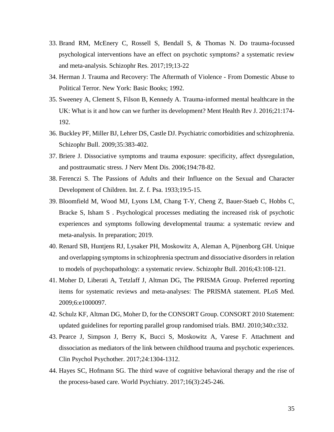- 33. Brand RM, McEnery C, Rossell S, Bendall S, & Thomas N. Do trauma-focussed psychological interventions have an effect on psychotic symptoms? a systematic review and meta-analysis. Schizophr Res. 2017;19;13-22
- 34. Herman J. Trauma and Recovery: The Aftermath of Violence From Domestic Abuse to Political Terror. New York: Basic Books; 1992.
- 35. Sweeney A, Clement S, Filson B, Kennedy A. Trauma-informed mental healthcare in the UK: What is it and how can we further its development? Ment Health Rev J. 2016;21:174- 192.
- 36. Buckley PF, Miller BJ, Lehrer DS, Castle DJ. Psychiatric comorbidities and schizophrenia. Schizophr Bull. 2009;35:383-402.
- 37. Briere J. Dissociative symptoms and trauma exposure: specificity, affect dysregulation, and posttraumatic stress. J Nerv Ment Dis. 2006;194:78-82.
- 38. Ferenczi S. The Passions of Adults and their Influence on the Sexual and Character Development of Children. Int. Z. f. Psa. 1933;19:5-15.
- 39. Bloomfield M, Wood MJ, Lyons LM, Chang T-Y, Cheng Z, Bauer-Staeb C, Hobbs C, Bracke S, Isham S . Psychological processes mediating the increased risk of psychotic experiences and symptoms following developmental trauma: a systematic review and meta-analysis. In preparation; 2019.
- 40. Renard SB, Huntjens RJ, Lysaker PH, Moskowitz A, Aleman A, Pijnenborg GH. Unique and overlapping symptoms in schizophrenia spectrum and dissociative disorders in relation to models of psychopathology: a systematic review. Schizophr Bull. 2016;43:108-121.
- 41. Moher D, Liberati A, Tetzlaff J, Altman DG, The PRISMA Group. Preferred reporting items for systematic reviews and meta-analyses: The PRISMA statement. PLoS Med. 2009;6:e1000097.
- 42. Schulz KF, Altman DG, Moher D, for the CONSORT Group. CONSORT 2010 Statement: updated guidelines for reporting parallel group randomised trials. BMJ. 2010;340:c332.
- 43. Pearce J, Simpson J, Berry K, Bucci S, Moskowitz A, Varese F. Attachment and dissociation as mediators of the link between childhood trauma and psychotic experiences. Clin Psychol Psychother. 2017;24:1304-1312.
- 44. Hayes SC, Hofmann SG. The third wave of cognitive behavioral therapy and the rise of the process-based care. World Psychiatry. 2017;16(3):245-246.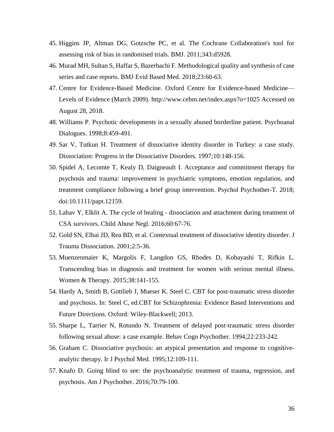- 45. Higgins JP, Altman DG, Gotzsche PC, et al. The Cochrane Collaboration's tool for assessing risk of bias in randomised trials. BMJ. 2011;343:d5928.
- 46. Murad MH, Sultan S, Haffar S, Bazerbachi F. Methodological quality and synthesis of case series and case reports. BMJ Evid Based Med. 2018;23:60-63.
- 47. Centre for Evidence-Based Medicine. Oxford Centre for Evidence-based Medicine— Levels of Evidence (March 2009). http://www.cebm.net/index.aspx?o=1025 Accessed on August 28, 2018.
- 48. Williams P. Psychotic developments in a sexually abused borderline patient. Psychoanal Dialogues. 1998;8:459-491.
- 49. Sar V, Tutkun H. Treatment of dissociative identity disorder in Turkey: a case study. Dissociation: Progress in the Dissociative Disorders. 1997;10:148-156.
- 50. Spidel A, Lecomte T, Kealy D, Daigneault I. Acceptance and commitment therapy for psychosis and trauma: improvement in psychiatric symptoms, emotion regulation, and treatment compliance following a brief group intervention. Psychol Psychother-T. 2018; doi:10.1111/papt.12159.
- 51. Lahav Y, Elklit A. The cycle of healing dissociation and attachment during treatment of CSA survivors. Child Abuse Negl. 2016;60:67-76.
- 52. Gold SN, Elhai JD, Rea BD, et al. Contextual treatment of dissociative identity disorder. J Trauma Dissociation. 2001;2:5-36.
- 53. Muenzenmaier K, Margolis F, Langdon GS, Rhodes D, Kobayashi T, Rifkin L. Transcending bias in diagnosis and treatment for women with serious mental illness. Women & Therapy. 2015;38:141-155.
- 54. Hardy A, Smith B, Gottlieb J, Mueser K. Steel C. CBT for post-traumatic stress disorder and psychosis. In: Steel C, ed.CBT for Schizophrenia: Evidence Based Interventions and Future Directions. Oxford: Wiley-Blackwell; 2013.
- 55. Sharpe L, Tarrier N, Rotundo N. Treatment of delayed post-traumatic stress disorder following sexual abuse: a case example. Behav Cogn Psychother. 1994;22:233-242.
- 56. Graham C. Dissociative psychosis: an atypical presentation and response to cognitiveanalytic therapy. Ir J Psychol Med. 1995;12:109-111.
- 57. Knafo D. Going blind to see: the psychoanalytic treatment of trauma, regression, and psychosis. Am J Psychother. 2016;70:79-100.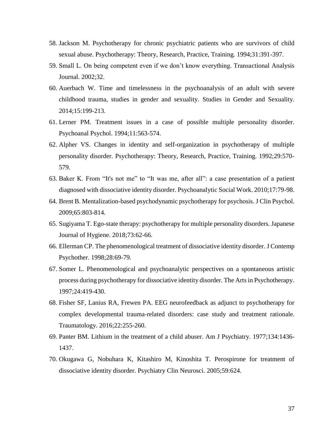- 58. Jackson M. Psychotherapy for chronic psychiatric patients who are survivors of child sexual abuse. Psychotherapy: Theory, Research, Practice, Training. 1994;31:391-397.
- 59. Small L. On being competent even if we don't know everything. Transactional Analysis Journal. 2002;32.
- 60. Auerbach W. Time and timelessness in the psychoanalysis of an adult with severe childhood trauma, studies in gender and sexuality. Studies in Gender and Sexuality. 2014;15:199-213.
- 61. Lerner PM. Treatment issues in a case of possible multiple personality disorder. Psychoanal Psychol. 1994;11:563-574.
- 62. Alpher VS. Changes in identity and self-organization in psychotherapy of multiple personality disorder. Psychotherapy: Theory, Research, Practice, Training. 1992;29:570- 579.
- 63. Baker K. From "It's not me" to "It was me, after all": a case presentation of a patient diagnosed with dissociative identity disorder. Psychoanalytic Social Work. 2010;17:79-98.
- 64. Brent B. Mentalization-based psychodynamic psychotherapy for psychosis. J Clin Psychol. 2009;65:803-814.
- 65. Sugiyama T. Ego-state therapy: psychotherapy for multiple personality disorders. Japanese Journal of Hygiene. 2018;73:62-66.
- 66. Ellerman CP. The phenomenological treatment of dissociative identity disorder. J Contemp Psychother. 1998;28:69-79.
- 67. Somer L. Phenomenological and psychoanalytic perspectives on a spontaneous artistic process during psychotherapy for dissociative identity disorder. The Arts in Psychotherapy. 1997;24:419-430.
- 68. Fisher SF, Lanius RA, Frewen PA. EEG neurofeedback as adjunct to psychotherapy for complex developmental trauma-related disorders: case study and treatment rationale. Traumatology. 2016;22:255-260.
- 69. Panter BM. Lithium in the treatment of a child abuser. Am J Psychiatry. 1977;134:1436- 1437.
- 70. Okugawa G, Nobuhara K, Kitashiro M, Kinoshita T. Perospirone for treatment of dissociative identity disorder. Psychiatry Clin Neurosci. 2005;59:624.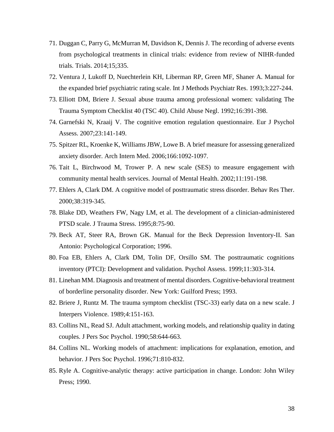- 71. Duggan C, Parry G, McMurran M, Davidson K, Dennis J. The recording of adverse events from psychological treatments in clinical trials: evidence from review of NIHR-funded trials. Trials. 2014;15;335.
- 72. Ventura J, Lukoff D, Nuechterlein KH, Liberman RP, Green MF, Shaner A. Manual for the expanded brief psychiatric rating scale. Int J Methods Psychiatr Res. 1993;3:227-244.
- 73. Elliott DM, Briere J. Sexual abuse trauma among professional women: validating The Trauma Symptom Checklist 40 (TSC 40). Child Abuse Negl. 1992;16:391-398.
- 74. Garnefski N, Kraaij V. The cognitive emotion regulation questionnaire. Eur J Psychol Assess. 2007;23:141-149.
- 75. Spitzer RL, Kroenke K, Williams JBW, Lowe B. A brief measure for assessing generalized anxiety disorder. Arch Intern Med. 2006;166:1092-1097.
- 76. Tait L, Birchwood M, Trower P. A new scale (SES) to measure engagement with community mental health services. Journal of Mental Health. 2002;11:191-198.
- 77. Ehlers A, Clark DM. A cognitive model of posttraumatic stress disorder. Behav Res Ther. 2000;38:319-345.
- 78. Blake DD, Weathers FW, Nagy LM, et al. The development of a clinician-administered PTSD scale. J Trauma Stress. 1995;8:75-90.
- 79. Beck AT, Steer RA, Brown GK. Manual for the Beck Depression Inventory-II. San Antonio: Psychological Corporation; 1996.
- 80. Foa EB, Ehlers A, Clark DM, Tolin DF, Orsillo SM. The posttraumatic cognitions inventory (PTCI): Development and validation. Psychol Assess. 1999;11:303-314.
- 81. Linehan MM. Diagnosis and treatment of mental disorders. Cognitive-behavioral treatment of borderline personality disorder. New York: Guilford Press; 1993.
- 82. Briere J, Runtz M. The trauma symptom checklist (TSC-33) early data on a new scale. J Interpers Violence. 1989;4:151-163.
- 83. Collins NL, Read SJ. Adult attachment, working models, and relationship quality in dating couples. J Pers Soc Psychol. 1990;58:644-663.
- 84. Collins NL. Working models of attachment: implications for explanation, emotion, and behavior. J Pers Soc Psychol. 1996;71:810-832.
- 85. Ryle A. Cognitive-analytic therapy: active participation in change. London: John Wiley Press; 1990.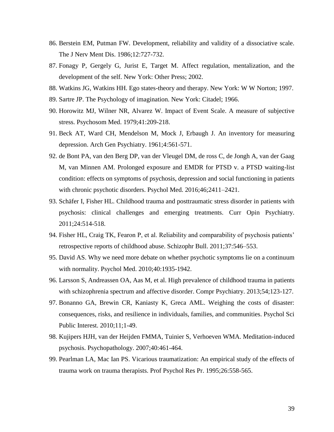- 86. Berstein EM, Putman FW. Development, reliability and validity of a dissociative scale. The J Nerv Ment Dis. 1986;12:727-732.
- 87. Fonagy P, Gergely G, Jurist E, Target M. Affect regulation, mentalization, and the development of the self. New York: Other Press; 2002.
- 88. Watkins JG, Watkins HH. Ego states-theory and therapy. New York: W W Norton; 1997.
- 89. Sartre JP. The Psychology of imagination. New York: Citadel; 1966.
- 90. Horowitz MJ, Wilner NR, Alvarez W. Impact of Event Scale. A measure of subjective stress. Psychosom Med. 1979;41:209-218.
- 91. Beck AT, Ward CH, Mendelson M, Mock J, Erbaugh J. An inventory for measuring depression. Arch Gen Psychiatry. 1961;4:561-571.
- 92. de Bont PA, van den Berg DP, van der Vleugel DM, de ross C, de Jongh A, van der Gaag M, van Minnen AM. Prolonged exposure and EMDR for PTSD v. a PTSD waiting-list condition: effects on symptoms of psychosis, depression and social functioning in patients with chronic psychotic disorders. Psychol Med. 2016;46;2411–2421.
- 93. Schäfer I, Fisher HL. Childhood trauma and posttraumatic stress disorder in patients with psychosis: clinical challenges and emerging treatments. Curr Opin Psychiatry. 2011;24:514-518.
- 94. Fisher HL, Craig TK, Fearon P, et al. Reliability and comparability of psychosis patients' retrospective reports of childhood abuse. Schizophr Bull. 2011;37:546–553.
- 95. David AS. Why we need more debate on whether psychotic symptoms lie on a continuum with normality. Psychol Med. 2010;40:1935-1942.
- 96. Larsson S, Andreassen OA, Aas M, et al. High prevalence of childhood trauma in patients with schizophrenia spectrum and affective disorder. Compr Psychiatry. 2013;54;123-127.
- 97. Bonanno GA, Brewin CR, Kaniasty K, Greca AML. Weighing the costs of disaster: consequences, risks, and resilience in individuals, families, and communities. Psychol Sci Public Interest. 2010;11;1-49.
- 98. Kujipers HJH, van der Heijden FMMA, Tuinier S, Verhoeven WMA. Meditation-induced psychosis. Psychopathology. 2007;40:461-464.
- 99. Pearlman LA, Mac Ian PS. Vicarious traumatization: An empirical study of the effects of trauma work on trauma therapists. Prof Psychol Res Pr. 1995;26:558-565.